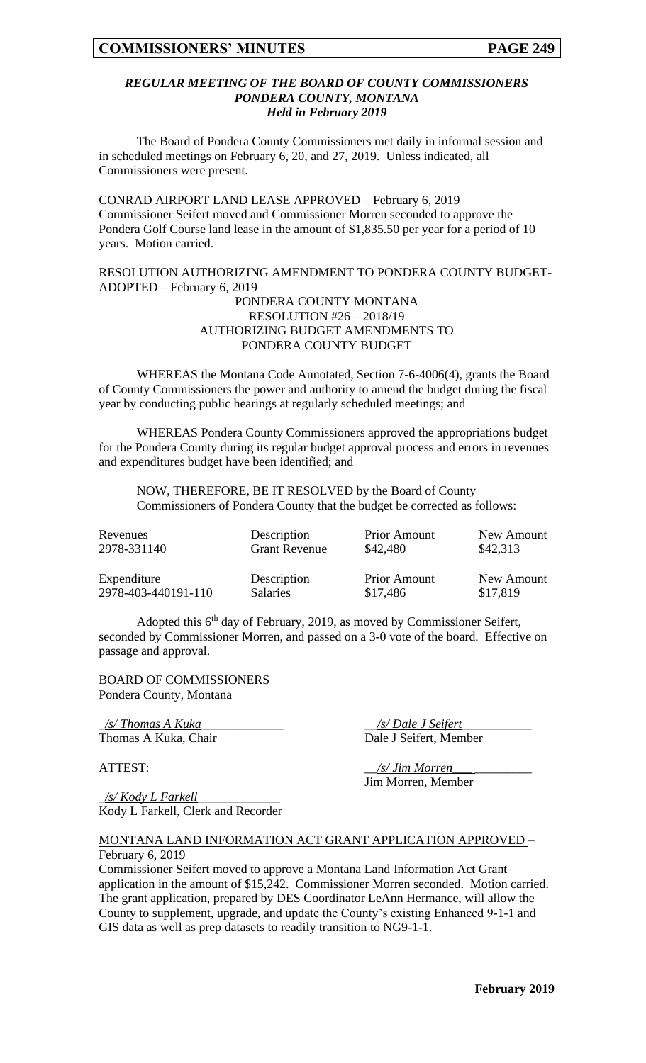#### *REGULAR MEETING OF THE BOARD OF COUNTY COMMISSIONERS PONDERA COUNTY, MONTANA Held in February 2019*

The Board of Pondera County Commissioners met daily in informal session and in scheduled meetings on February 6, 20, and 27, 2019. Unless indicated, all Commissioners were present.

CONRAD AIRPORT LAND LEASE APPROVED – February 6, 2019 Commissioner Seifert moved and Commissioner Morren seconded to approve the Pondera Golf Course land lease in the amount of \$1,835.50 per year for a period of 10 years. Motion carried.

#### RESOLUTION AUTHORIZING AMENDMENT TO PONDERA COUNTY BUDGET-ADOPTED – February 6, 2019

## PONDERA COUNTY MONTANA RESOLUTION #26 – 2018/19 AUTHORIZING BUDGET AMENDMENTS TO PONDERA COUNTY BUDGET

WHEREAS the Montana Code Annotated, Section 7-6-4006(4), grants the Board of County Commissioners the power and authority to amend the budget during the fiscal year by conducting public hearings at regularly scheduled meetings; and

WHEREAS Pondera County Commissioners approved the appropriations budget for the Pondera County during its regular budget approval process and errors in revenues and expenditures budget have been identified; and

NOW, THEREFORE, BE IT RESOLVED by the Board of County Commissioners of Pondera County that the budget be corrected as follows:

| Revenues            | Description          | <b>Prior Amount</b> | New Amount |
|---------------------|----------------------|---------------------|------------|
| 2978-331140         | <b>Grant Revenue</b> | \$42,480            | \$42,313   |
| Expenditure         | Description          | <b>Prior Amount</b> | New Amount |
| 2978-403-440191-110 | <b>Salaries</b>      | \$17,486            | \$17,819   |

Adopted this  $6<sup>th</sup>$  day of February, 2019, as moved by Commissioner Seifert, seconded by Commissioner Morren, and passed on a 3-0 vote of the board. Effective on passage and approval.

BOARD OF COMMISSIONERS Pondera County, Montana

\_*/s/ Thomas A Kuka*\_\_\_\_\_\_\_\_\_\_\_\_\_ \_\_*/s/ Dale J Seifert*\_\_\_\_\_\_\_\_\_\_\_

Thomas A Kuka, Chair Dale J Seifert, Member

ATTEST:  $\frac{1}{s}$  /s/ *Jim Morren* 

Jim Morren, Member

\_*/s/ Kody L Farkell*\_\_\_\_\_\_\_\_\_\_\_\_\_ Kody L Farkell, Clerk and Recorder

MONTANA LAND INFORMATION ACT GRANT APPLICATION APPROVED – February 6, 2019

Commissioner Seifert moved to approve a Montana Land Information Act Grant application in the amount of \$15,242. Commissioner Morren seconded. Motion carried. The grant application, prepared by DES Coordinator LeAnn Hermance, will allow the County to supplement, upgrade, and update the County's existing Enhanced 9-1-1 and GIS data as well as prep datasets to readily transition to NG9-1-1.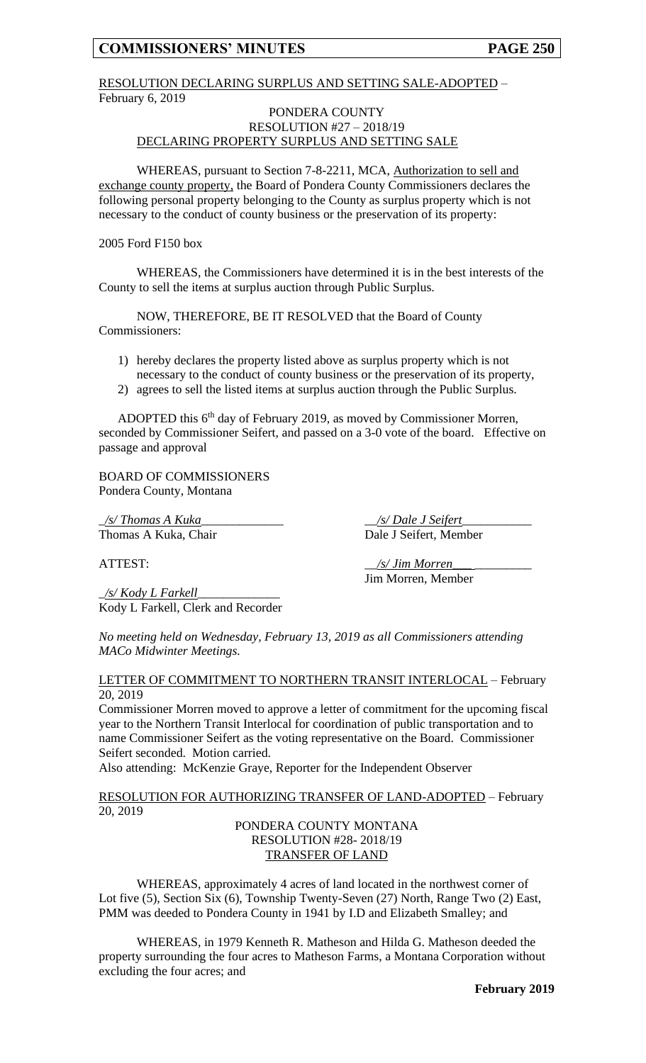## **COMMISSIONERS' MINUTES PAGE 250**

## RESOLUTION DECLARING SURPLUS AND SETTING SALE-ADOPTED – February 6, 2019

#### PONDERA COUNTY RESOLUTION #27 – 2018/19 DECLARING PROPERTY SURPLUS AND SETTING SALE

WHEREAS, pursuant to Section 7-8-2211, MCA, Authorization to sell and exchange county property, the Board of Pondera County Commissioners declares the following personal property belonging to the County as surplus property which is not necessary to the conduct of county business or the preservation of its property:

2005 Ford F150 box

WHEREAS, the Commissioners have determined it is in the best interests of the County to sell the items at surplus auction through Public Surplus.

NOW, THEREFORE, BE IT RESOLVED that the Board of County Commissioners:

- 1) hereby declares the property listed above as surplus property which is not necessary to the conduct of county business or the preservation of its property,
- 2) agrees to sell the listed items at surplus auction through the Public Surplus.

ADOPTED this 6<sup>th</sup> day of February 2019, as moved by Commissioner Morren, seconded by Commissioner Seifert, and passed on a 3-0 vote of the board. Effective on passage and approval

BOARD OF COMMISSIONERS Pondera County, Montana

\_*/s/ Thomas A Kuka*\_\_\_\_\_\_\_\_\_\_\_\_\_ \_\_*/s/ Dale J Seifert*\_\_\_\_\_\_\_\_\_\_\_ Thomas A Kuka, Chair Dale J Seifert, Member

ATTEST:  $\frac{s}{\sqrt{s}}$  *Jim Morren* 

Jim Morren, Member

\_*/s/ Kody L Farkell*\_\_\_\_\_\_\_\_\_\_\_\_\_ Kody L Farkell, Clerk and Recorder

*No meeting held on Wednesday, February 13, 2019 as all Commissioners attending MACo Midwinter Meetings.*

#### LETTER OF COMMITMENT TO NORTHERN TRANSIT INTERLOCAL – February 20, 2019

Commissioner Morren moved to approve a letter of commitment for the upcoming fiscal year to the Northern Transit Interlocal for coordination of public transportation and to name Commissioner Seifert as the voting representative on the Board. Commissioner Seifert seconded. Motion carried.

Also attending: McKenzie Graye, Reporter for the Independent Observer

### RESOLUTION FOR AUTHORIZING TRANSFER OF LAND-ADOPTED – February 20, 2019

PONDERA COUNTY MONTANA RESOLUTION #28- 2018/19 TRANSFER OF LAND

WHEREAS, approximately 4 acres of land located in the northwest corner of Lot five (5), Section Six (6), Township Twenty-Seven (27) North, Range Two (2) East, PMM was deeded to Pondera County in 1941 by I.D and Elizabeth Smalley; and

WHEREAS, in 1979 Kenneth R. Matheson and Hilda G. Matheson deeded the property surrounding the four acres to Matheson Farms, a Montana Corporation without excluding the four acres; and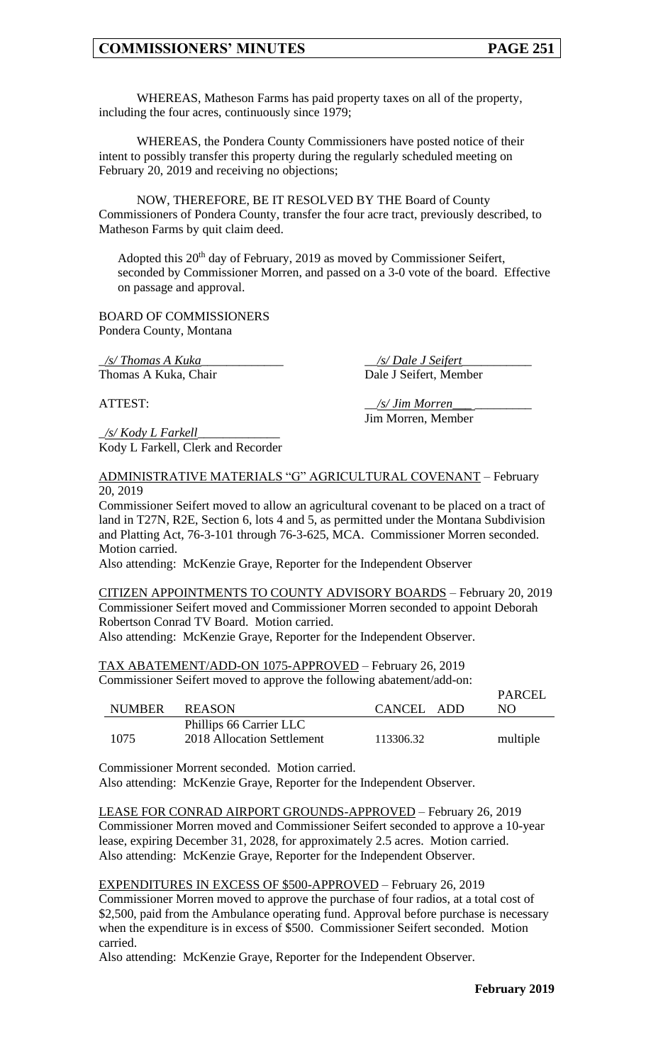## **COMMISSIONERS' MINUTES PAGE 251**

WHEREAS, Matheson Farms has paid property taxes on all of the property, including the four acres, continuously since 1979;

WHEREAS, the Pondera County Commissioners have posted notice of their intent to possibly transfer this property during the regularly scheduled meeting on February 20, 2019 and receiving no objections;

NOW, THEREFORE, BE IT RESOLVED BY THE Board of County Commissioners of Pondera County, transfer the four acre tract, previously described, to Matheson Farms by quit claim deed.

Adopted this 20<sup>th</sup> day of February, 2019 as moved by Commissioner Seifert, seconded by Commissioner Morren, and passed on a 3-0 vote of the board. Effective on passage and approval.

BOARD OF COMMISSIONERS Pondera County, Montana

Thomas A Kuka, Chair Dale J Seifert, Member

\_*/s/ Thomas A Kuka*\_\_\_\_\_\_\_\_\_\_\_\_\_ \_\_*/s/ Dale J Seifert*\_\_\_\_\_\_\_\_\_\_\_

\_*/s/ Kody L Farkell*\_\_\_\_\_\_\_\_\_\_\_\_\_ Kody L Farkell, Clerk and Recorder

ATTEST:  $\frac{1}{s}$  /s/ Jim Morren\_ Jim Morren, Member

## ADMINISTRATIVE MATERIALS "G" AGRICULTURAL COVENANT – February 20, 2019

Commissioner Seifert moved to allow an agricultural covenant to be placed on a tract of land in T27N, R2E, Section 6, lots 4 and 5, as permitted under the Montana Subdivision and Platting Act, 76-3-101 through 76-3-625, MCA. Commissioner Morren seconded. Motion carried.

Also attending: McKenzie Graye, Reporter for the Independent Observer

CITIZEN APPOINTMENTS TO COUNTY ADVISORY BOARDS – February 20, 2019 Commissioner Seifert moved and Commissioner Morren seconded to appoint Deborah Robertson Conrad TV Board. Motion carried.

Also attending: McKenzie Graye, Reporter for the Independent Observer.

TAX ABATEMENT/ADD-ON 1075-APPROVED – February 26, 2019

Commissioner Seifert moved to approve the following abatement/add-on:

| <b>NUMBER</b> | <b>REASON</b>                                         | CANCEL ADD | PARCEL<br>NΩ |
|---------------|-------------------------------------------------------|------------|--------------|
| 1075          | Phillips 66 Carrier LLC<br>2018 Allocation Settlement | 113306.32  | multiple     |

Commissioner Morrent seconded. Motion carried.

Also attending: McKenzie Graye, Reporter for the Independent Observer.

LEASE FOR CONRAD AIRPORT GROUNDS-APPROVED – February 26, 2019 Commissioner Morren moved and Commissioner Seifert seconded to approve a 10-year lease, expiring December 31, 2028, for approximately 2.5 acres. Motion carried. Also attending: McKenzie Graye, Reporter for the Independent Observer.

EXPENDITURES IN EXCESS OF \$500-APPROVED – February 26, 2019 Commissioner Morren moved to approve the purchase of four radios, at a total cost of \$2,500, paid from the Ambulance operating fund. Approval before purchase is necessary when the expenditure is in excess of \$500. Commissioner Seifert seconded. Motion carried.

Also attending: McKenzie Graye, Reporter for the Independent Observer.